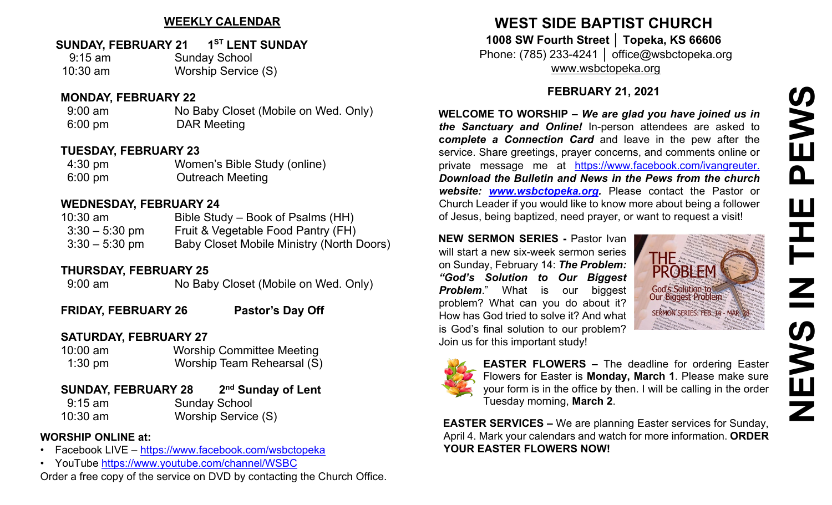## **WEEKLY CALENDAR**

## **SUNDAY, FEBRUARY 21 1ST LENT SUNDAY**

| $9:15$ am  | <b>Sunday School</b> |
|------------|----------------------|
| $10:30$ am | Worship Service (S)  |

#### **MONDAY, FEBRUARY 22**

9:00 am No Baby Closet (Mobile on Wed. Only) 6:00 pm DAR Meeting

### **TUESDAY, FEBRUARY 23**

| $4:30 \text{ pm}$ | Women's Bible Study (online) |
|-------------------|------------------------------|
| $6:00 \text{ pm}$ | <b>Outreach Meeting</b>      |

### **WEDNESDAY, FEBRUARY 24**

| $10:30$ am       | Bible Study – Book of Psalms (HH)                |
|------------------|--------------------------------------------------|
| $3:30 - 5:30$ pm | Fruit & Vegetable Food Pantry (FH)               |
| $3:30 - 5:30$ pm | <b>Baby Closet Mobile Ministry (North Doors)</b> |

## **THURSDAY, FEBRUARY 25**

9:00 am No Baby Closet (Mobile on Wed. Only)

FRIDAY, FEBRUARY 26 Pastor's Day Off

## **SATURDAY, FEBRUARY 27**

| $10:00$ am | <b>Worship Committee Meeting</b> |
|------------|----------------------------------|
| $1:30$ pm  | Worship Team Rehearsal (S)       |

| <b>SUNDAY, FEBRUARY 28</b> | 2 <sup>nd</sup> Sunday of Lent |                     |
|----------------------------|--------------------------------|---------------------|
| $9:15$ am                  | <b>Sunday School</b>           |                     |
| $10:30$ am                 |                                | Worship Service (S) |

## **WORSHIP ONLINE at:**

- Facebook LIVE [–](https://www.facebook.com/wsbctopeka) <https://www.facebook.com/wsbctopeka>
- YouTub[e](https://www.youtube.com/channel/WSBC) <https://www.youtube.com/channel/WSBC>

Order a free copy of the service on DVD by contacting the Church Office.

# **WEST SIDE BAPTIST CHURCH 1008 SW Fourth Street │ Topeka, KS 66606**

Phone: (785) 233-4241 │ office@wsbctopeka.org [www.wsbctopeka.org](http://www.wsbctopeka.org/)

## **FEBRUARY 21, 2021**

**WELCOME TO WORSHIP –** *We are glad you have joined us in the Sanctuary and Online!* In-person attendees are asked to **c***omplete a Connection Card* and leave in the pew after the service. Share greetings, prayer concerns, and comments online or private message me at <https://www.facebook.com/ivangreuter.> *Download the Bulletin and News in the Pews from the church website: [www.wsbctopeka.org.](http://www.wsbctopeka.org/)* Please contact the Pastor or Church Leader if you would like to know more about being a follower of Jesus, being baptized, need prayer, or want to request a visit!

**NEW SERMON SERIES -** Pastor Ivan will start a new six-week sermon series on Sunday, February 14: *The Problem: "God's Solution to Our Biggest Problem.*" What is our biggest problem? What can you do about it? How has God tried to solve it? And what is God's final solution to our problem? Join us for this important study!





**EASTER FLOWERS –** The deadline for ordering Easter Flowers for Easter is **Monday, March 1**. Please make sure your form is in the office by then. I will be calling in the order Tuesday morning, **March 2**.

**[EAS](http://pngimg.com/download/9002)TER SERVICES –** We are planning Easter services for Sunday, April 4. Mark your calendars and watch for more information. **ORDER YOUR EASTER FLOWERS NOW!**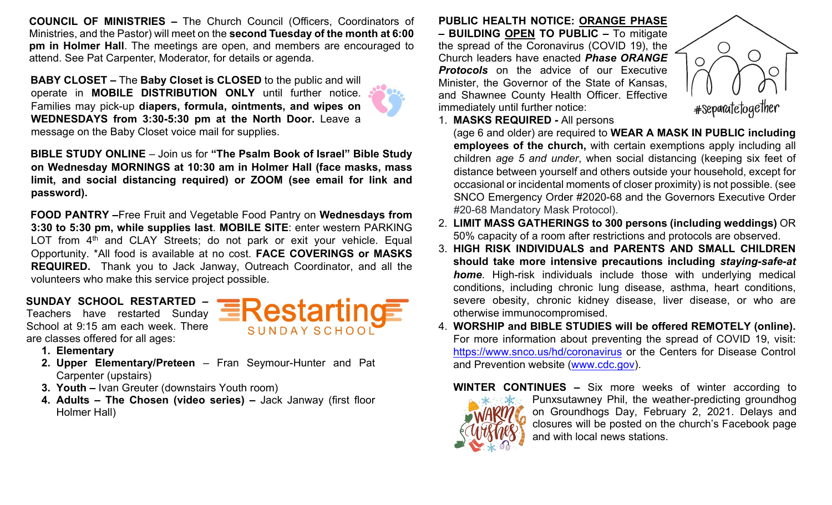**COUNCIL OF MINISTRIES –** The Church Council (Officers, Coordinators of Ministries, and the Pastor) will meet on the **second Tuesday of the month at 6:00 pm in Holmer Hall**. The meetings are open, and members are encouraged to attend. See Pat Carpenter, Moderator, for details or agenda.

**BABY CLOSET –** The **Baby Closet is CLOSED** to the public and will operate in **MOBILE DISTRIBUTION ONLY** until further notice. Families may pick-up **diapers, formula, ointments, and wipes on WEDNESDAYS from 3:30-5:30 pm at the North Door.** Leave a message on the Baby Closet voice mail for supplies.

**BIBLE STUDY ONLINE** – Join us for **"The Psalm Book of Israel" Bible Study on Wednesday MORNINGS at 10:30 am in Holmer Hall (face masks, mass limit, and social distancing required) or ZOOM (see email for link and password).** 

**FOOD PANTRY –**Free Fruit and Vegetable Food Pantry on **Wednesd[ays fro](https://creativecommons.org/licenses/by-nc-nd/3.0/)m 3:30 to 5:30 pm, while supplies last**. **MOBILE SITE**: enter western P[ARKIN](https://creativecommons.org/licenses/by-nc-nd/3.0/)G LOT from  $4<sup>th</sup>$  and CLAY Streets; do not park or exit your vehicl[e. Eq](https://creativecommons.org/licenses/by-nc-nd/3.0/)ual Opportunity. \*All food is available at no cost. **FACE COVERINGS or MASKS REQUIRED.** Thank you to Jack Janway, Outreach Coordinator, and all the volunteers who make this service project possible.

**SUNDAY SCHOOL RESTARTED –** Teachers have restarted Sunday School at 9:15 am each week. There are classes offered for all ages:



- **1. Elementary**
- **2. Upper Elementary/Preteen** Fran Seymour-Hunter and Pat Carpenter (upstairs)
- **3. Youth –** Ivan Greuter (downstairs Youth room)
- **4. Adults – The Chosen (video series) –** Jack Janway (first floor Holmer Hall)

**PUBLIC HEALTH NOTICE: ORANGE PHASE – BUILDING OPEN TO PUBLIC –** To mitigate the spread of the Coronavirus (COVID 19), the Church leaders have enacted *Phase ORANGE Protocols* on the advice of our Executive Minister, the Governor of the State of Kansas, and Shawnee County Health Officer. Effective immediately until further notice:



1. **MASKS REQUIRED -** All persons

(age 6 and older) are required to **WEAR A MASK IN PUBLIC including employees of the church,** with certain exemptions apply including all children *age 5 and under*, when social distancing (keeping six feet of distance between yourself and others outside your household, except for occasional or incidental moments of closer proximity) is not possible. (see SNCO Emergency Order #2020-68 and the Governors Executive Order #20-68 Mandatory Mask Protocol).

- 2. **LIMIT MASS GATHERINGS to 300 persons (including weddings)** OR 50% capacity of a room after restrictions and protocols are observed.
- 3. **HIGH RISK INDIVIDUALS and PARENTS AND SMALL CHILDREN should take more intensive precautions including** *staying-safe-at home*. High-risk individuals include those with underlying medical conditions, including chronic lung disease, asthma, heart conditions, severe obesity, chronic kidney disease, liver disease, or who are otherwise immunocompromised.
- 4. **WORSHIP and BIBLE STUDIES will be offered REMOTELY (online).**  For more information about preventing the spread of COVID 19, visit: <https://www.snco.us/hd/coronavirus> or the Centers for Disease Control and Prevention website [\(www.cdc.gov\).](http://www.cdc.gov/)



**WINTER CONTINUES –** Six more weeks of winter according to Punxsutawney Phil, the weather-predicting groundhog on Groundhogs Day, February 2, 2021. Delays and closures will be posted on the church's Facebook page and with local news stations.